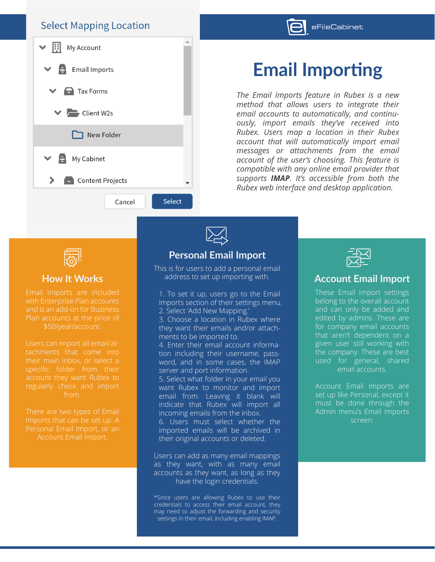#### **Select Mapping Location**





# **Email Importing**

*The Email Imports feature in Rubex is a new method that allows users to integrate their email accounts to automatically, and continuously, import emails they've received into Rubex. Users map a location in their Rubex account that will automatically import email messages or attachments from the email account of the user's choosing. This feature is compatible with any online email provider that supports IMAP. It's accessible from both the Rubex web interface and desktop application.*



#### **How It Works**

with Enterprise Plan accounts and is an add-on for Business

specific folder from their

Personal Email Import, or an

### **Personal Email Import**

This is for users to add a personal email address to set up importing with.

1. To set it up, users go to the Email Imports section of their settings menu. 2. Select 'Add New Mapping.'

3. Choose a location in Rubex where they want their emails and/or attachments to be imported to.

4. Enter their email account information including their username, password, and in some cases, the IMAP server and port information.

5. Select what folder in your email you want Rubex to monitor and import email from. Leaving it blank will indicate that Rubex will import all incoming emails from the inbox.

6. Users must select whether the imported emails will be archived in their original accounts or deleted.

Users can add as many email mappings as they want, with as many email accounts as they want, as long as they have the login credentials.

\*Since users are allowing Rubex to use their credentials to access their email account, they may need to adjust the forwarding and security settings in their email, including enabling IMAP.



#### **Account Email Import**

These Email Import settings belong to the overall account and can only be added and edited by admins. These are for company email accounts that aren't dependent on a given user still working with the company. These are best used for general, shared email accounts.

Account Email Imports are set up like Personal, except it must be done through the Admin menu's Email Imports screen.